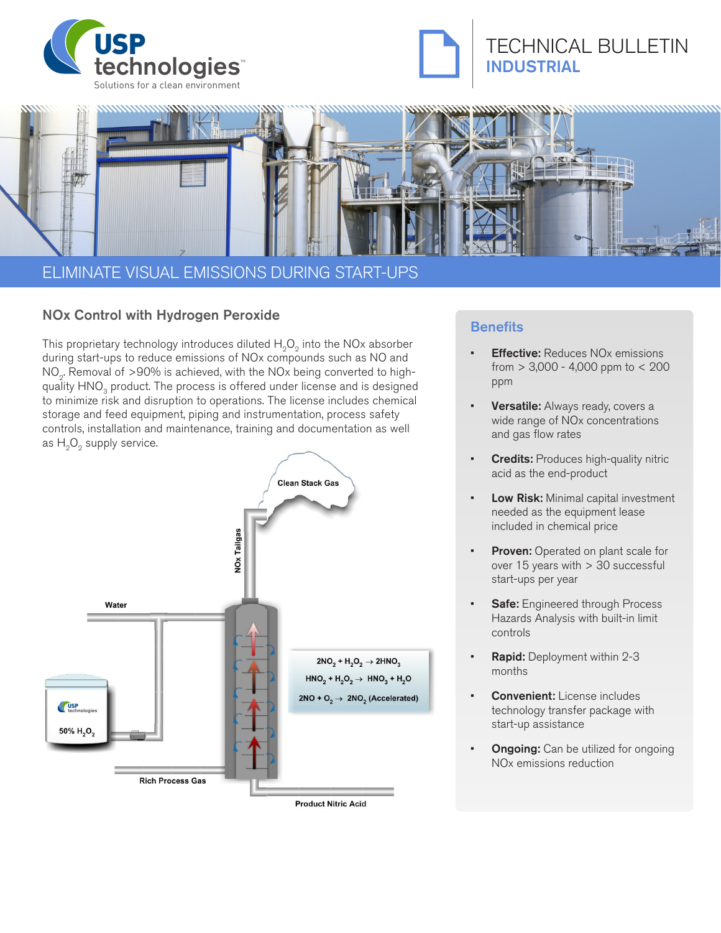





# ELIMINATE VISUAL EMISSIONS DURING START-UPS

# NOx Control with Hydrogen Peroxide<br>Benefits

This proprietary technology introduces diluted  $H_2O_2$  into the NOx absorber during start-ups to reduce emissions of NOx compounds such as NO and NO<sub>2</sub>. Removal of >90% is achieved, with the NOx being converted to highquality HNO<sub>3</sub> product. The process is offered under license and is designed to minimize risk and disruption to operations. The license includes chemical storage and feed equipment, piping and instrumentation, process safety controls, installation and maintenance, training and documentation as well as  $H_2O_2$  supply service.



#### **Product Nitric Acid**

- **Effective:** Reduces NO<sub>x</sub> emissions from  $> 3,000 - 4,000$  ppm to  $< 200$ ppm
- Versatile: Always ready, covers a wide range of NOx concentrations and gas flow rates
- **Credits: Produces high-quality nitric** acid as the end-product
- Low Risk: Minimal capital investment needed as the equipment lease included in chemical price
- Proven: Operated on plant scale for over 15 years with > 30 successful start-ups per year
- **Safe:** Engineered through Process Hazards Analysis with built-in limit controls
- Rapid: Deployment within 2-3 months
- **Convenient:** License includes technology transfer package with start-up assistance
- **Ongoing:** Can be utilized for ongoing NOx emissions reduction